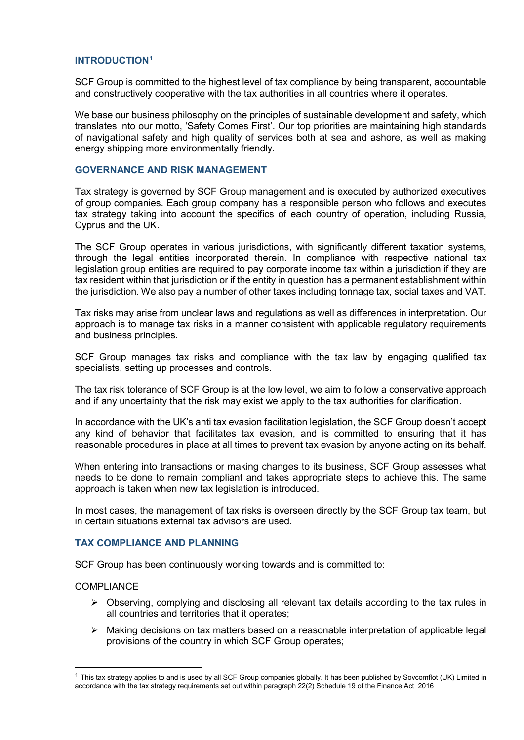#### **INTRODUCTION[1](#page-0-0)**

SCF Group is committed to the highest level of tax compliance by being transparent, accountable and constructively cooperative with the tax authorities in all countries where it operates.

We base our business philosophy on the principles of sustainable development and safety, which translates into our motto, 'Safety Comes First'. Our top priorities are maintaining high standards of navigational safety and high quality of services both at sea and ashore, as well as making energy shipping more environmentally friendly.

### **GOVERNANCE AND RISK MANAGEMENT**

Tax strategy is governed by SCF Group management and is executed by authorized executives of group companies. Each group company has a responsible person who follows and executes tax strategy taking into account the specifics of each country of operation, including Russia, Cyprus and the UK.

The SCF Group operates in various jurisdictions, with significantly different taxation systems, through the legal entities incorporated therein. In compliance with respective national tax legislation group entities are required to pay corporate income tax within a jurisdiction if they are tax resident within that jurisdiction or if the entity in question has a permanent establishment within the jurisdiction. We also pay a number of other taxes including tonnage tax, social taxes and VAT.

Tax risks may arise from unclear laws and regulations as well as differences in interpretation. Our approach is to manage tax risks in a manner consistent with applicable regulatory requirements and business principles.

SCF Group manages tax risks and compliance with the tax law by engaging qualified tax specialists, setting up processes and controls.

The tax risk tolerance of SCF Group is at the low level, we aim to follow a conservative approach and if any uncertainty that the risk may exist we apply to the tax authorities for clarification.

In accordance with the UK's anti tax evasion facilitation legislation, the SCF Group doesn't accept any kind of behavior that facilitates tax evasion, and is committed to ensuring that it has reasonable procedures in place at all times to prevent tax evasion by anyone acting on its behalf.

When entering into transactions or making changes to its business, SCF Group assesses what needs to be done to remain compliant and takes appropriate steps to achieve this. The same approach is taken when new tax legislation is introduced.

In most cases, the management of tax risks is overseen directly by the SCF Group tax team, but in certain situations external tax advisors are used.

# **TAX COMPLIANCE AND PLANNING**

SCF Group has been continuously working towards and is committed to:

#### **COMPLIANCE**

- $\triangleright$  Observing, complying and disclosing all relevant tax details according to the tax rules in all countries and territories that it operates;
- $\triangleright$  Making decisions on tax matters based on a reasonable interpretation of applicable legal provisions of the country in which SCF Group operates;

<span id="page-0-0"></span> $1$  This tax strategy applies to and is used by all SCF Group companies globally. It has been published by Sovcomflot (UK) Limited in accordance with the tax strategy requirements set out within paragraph 22(2) Schedule 19 of the Finance Act 2016